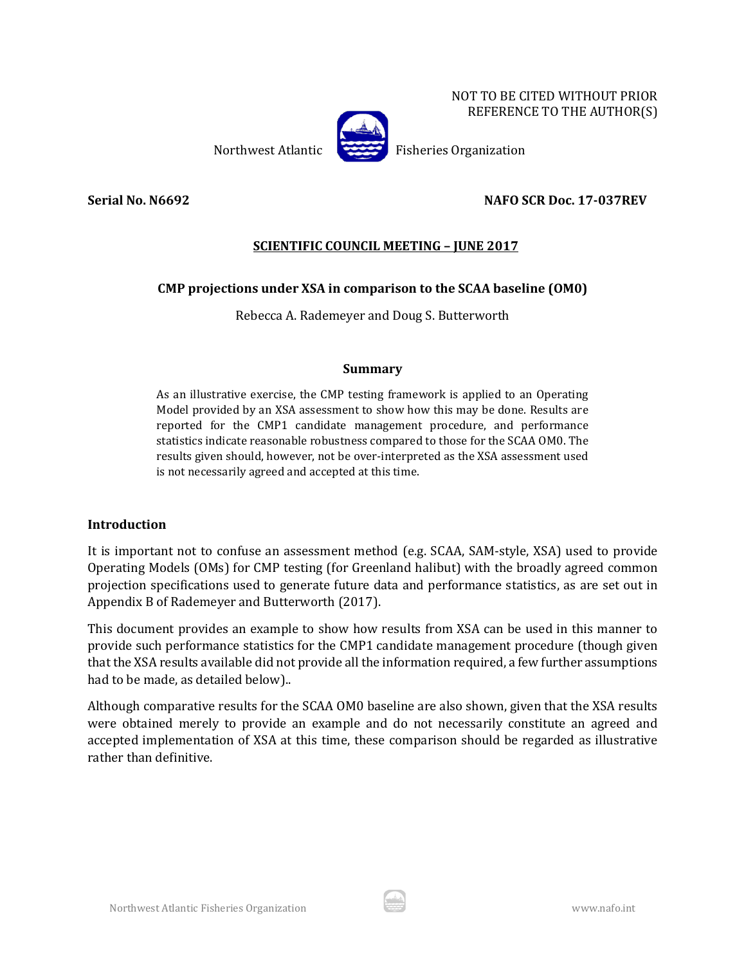NOT TO BE CITED WITHOUT PRIOR REFERENCE TO THE AUTHOR(S)



Northwest Atlantic Fisheries Organization

**Serial No. N6692 NAFO SCR Doc. 17-037REV**

# **SCIENTIFIC COUNCIL MEETING – JUNE 2017**

## **CMP projections under XSA in comparison to the SCAA baseline (OM0)**

Rebecca A. Rademeyer and Doug S. Butterworth

## **Summary**

As an illustrative exercise, the CMP testing framework is applied to an Operating Model provided by an XSA assessment to show how this may be done. Results are reported for the CMP1 candidate management procedure, and performance statistics indicate reasonable robustness compared to those for the SCAA OM0. The results given should, however, not be over-interpreted as the XSA assessment used is not necessarily agreed and accepted at this time.

## **Introduction**

It is important not to confuse an assessment method (e.g. SCAA, SAM-style, XSA) used to provide Operating Models (OMs) for CMP testing (for Greenland halibut) with the broadly agreed common projection specifications used to generate future data and performance statistics, as are set out in Appendix B of Rademeyer and Butterworth (2017).

This document provides an example to show how results from XSA can be used in this manner to provide such performance statistics for the CMP1 candidate management procedure (though given that the XSA results available did not provide all the information required, a few further assumptions had to be made, as detailed below)..

Although comparative results for the SCAA OM0 baseline are also shown, given that the XSA results were obtained merely to provide an example and do not necessarily constitute an agreed and accepted implementation of XSA at this time, these comparison should be regarded as illustrative rather than definitive.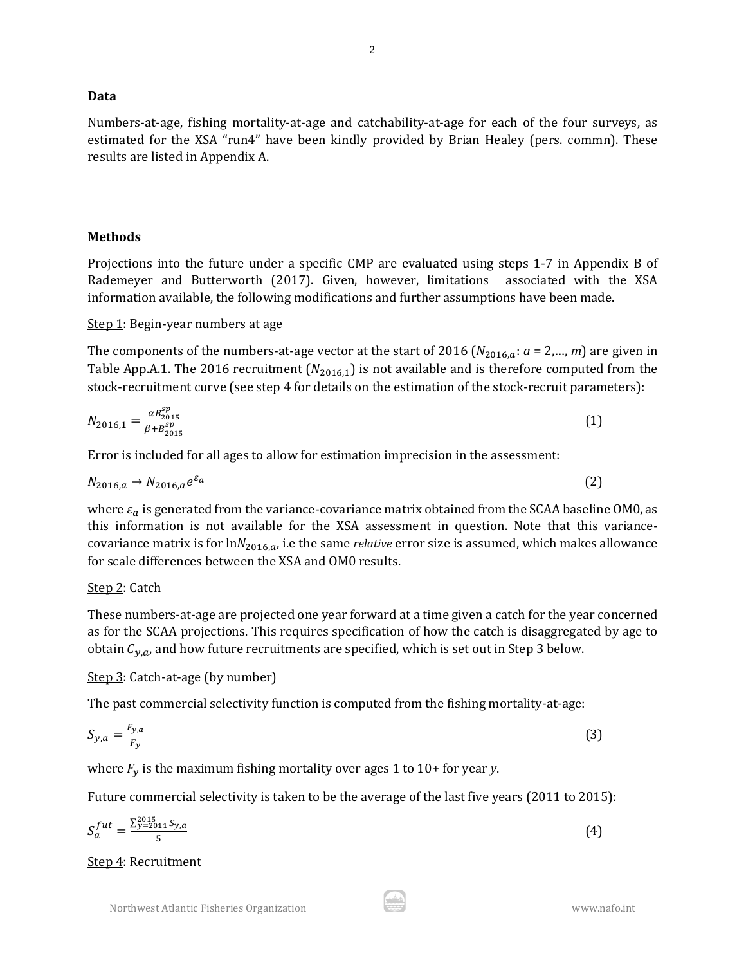#### **Data**

Numbers-at-age, fishing mortality-at-age and catchability-at-age for each of the four surveys, as estimated for the XSA "run4" have been kindly provided by Brian Healey (pers. commn). These results are listed in Appendix A.

#### **Methods**

Projections into the future under a specific CMP are evaluated using steps 1-7 in Appendix B of Rademeyer and Butterworth (2017). Given, however, limitations associated with the XSA information available, the following modifications and further assumptions have been made.

#### Step 1: Begin-year numbers at age

The components of the numbers-at-age vector at the start of 2016 ( $N_{2016,a}$ :  $a = 2,..., m$ ) are given in Table App.A.1. The 2016 recruitment ( $N_{2016,1}$ ) is not available and is therefore computed from the stock-recruitment curve (see step 4 for details on the estimation of the stock-recruit parameters):

$$
N_{2016,1} = \frac{\alpha B_{2015}^{sp}}{\beta + B_{2015}^{sp}} \tag{1}
$$

Error is included for all ages to allow for estimation imprecision in the assessment:

$$
N_{2016,a} \rightarrow N_{2016,a} e^{\varepsilon_a} \tag{2}
$$

where  $\varepsilon_a$  is generated from the variance-covariance matrix obtained from the SCAA baseline OM0, as this information is not available for the XSA assessment in question. Note that this variancecovariance matrix is for  $ln N_{2016,a}$ , i.e the same *relative* error size is assumed, which makes allowance for scale differences between the XSA and OM0 results.

## Step 2: Catch

These numbers-at-age are projected one year forward at a time given a catch for the year concerned as for the SCAA projections. This requires specification of how the catch is disaggregated by age to obtain  $C_{y,a}$ , and how future recruitments are specified, which is set out in Step 3 below.

## Step 3: Catch-at-age (by number)

The past commercial selectivity function is computed from the fishing mortality-at-age:

$$
S_{y,a} = \frac{F_{y,a}}{F_y} \tag{3}
$$

where  $F_y$  is the maximum fishing mortality over ages 1 to 10+ for year *y*.

Future commercial selectivity is taken to be the average of the last five years (2011 to 2015):

$$
S_a^{fut} = \frac{\Sigma_{y=2011}^{2015} S_{y,a}}{5} \tag{4}
$$

Step 4: Recruitment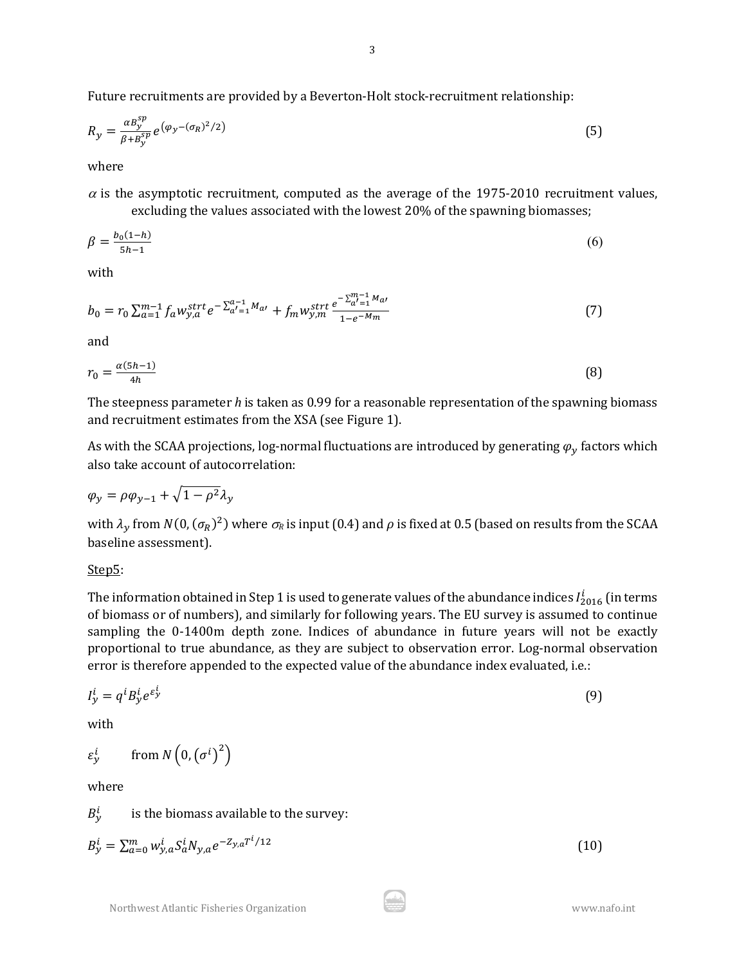Future recruitments are provided by a Beverton-Holt stock-recruitment relationship:

$$
R_{y} = \frac{\alpha B_{y}^{sp}}{\beta + B_{y}^{sp}} e^{\left(\varphi_{y} - (\sigma_{R})^{2} / 2\right)}
$$
(5)

where

 $\alpha$  is the asymptotic recruitment, computed as the average of the 1975-2010 recruitment values, excluding the values associated with the lowest 20% of the spawning biomasses;

$$
\beta = \frac{b_0(1-h)}{5h-1} \tag{6}
$$

with

$$
b_0 = r_0 \sum_{a=1}^{m-1} f_a w_{y,a}^{strt} e^{-\sum_{a'=1}^{a-1} M_{a'}} + f_m w_{y,m}^{strt} \frac{e^{-\sum_{a'=1}^{m-1} M_{a'}}}{1 - e^{-M_m}}
$$
(7)

and

$$
r_0 = \frac{\alpha (5h - 1)}{4h} \tag{8}
$$

The steepness parameter *h* is taken as 0.99 for a reasonable representation of the spawning biomass and recruitment estimates from the XSA (see Figure 1).

As with the SCAA projections, log-normal fluctuations are introduced by generating  $\varphi_y$  factors which also take account of autocorrelation:

$$
\varphi_y = \rho \varphi_{y-1} + \sqrt{1 - \rho^2} \lambda_y
$$

with  $\lambda_y$  from  $N(0, (\sigma_R)^2)$  where  $\sigma_R$  is input (0.4) and  $\rho$  is fixed at 0.5 (based on results from the SCAA baseline assessment).

Step5:

The information obtained in Step 1 is used to generate values of the abundance indices  $I^{l}_{2016}$  (in terms of biomass or of numbers), and similarly for following years. The EU survey is assumed to continue sampling the 0-1400m depth zone. Indices of abundance in future years will not be exactly proportional to true abundance, as they are subject to observation error. Log-normal observation error is therefore appended to the expected value of the abundance index evaluated, i.e.:

$$
I_y^i = q^i B_y^i e^{\varepsilon_y^i} \tag{9}
$$

with

$$
\varepsilon_{y}^{i} \qquad \text{from } N\left(0, \left(\sigma^{i}\right)^{2}\right)
$$

where

 $B_v^i$ is the biomass available to the survey:

$$
B_y^i = \sum_{a=0}^m w_{y,a}^i S_a^i N_{y,a} e^{-Z_{y,a} T^i / 12}
$$
\n(10)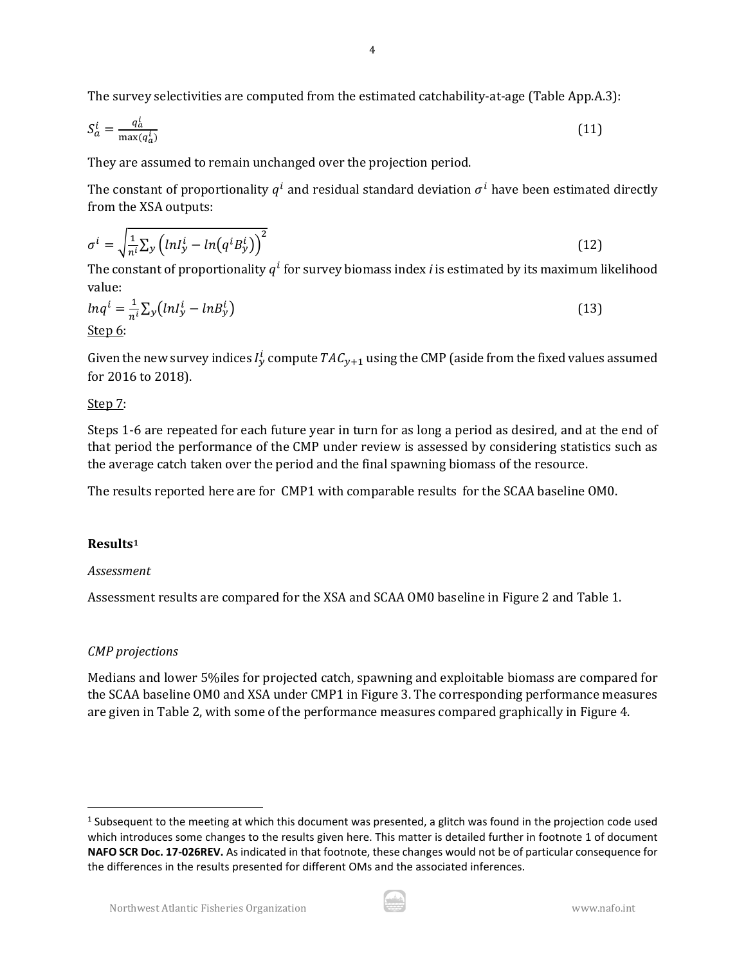The survey selectivities are computed from the estimated catchability-at-age (Table App.A.3):

$$
S_a^i = \frac{q_a^i}{\max(q_a^i)}\tag{11}
$$

They are assumed to remain unchanged over the projection period.

The constant of proportionality  $q^{i}$  and residual standard deviation  $q^{i}$  have been estimated directly from the XSA outputs:

$$
\sigma^i = \sqrt{\frac{1}{n^i} \sum_{y} \left( ln I_y^i - ln \left( q^i B_y^i \right) \right)^2}
$$
\n(12)

The constant of proportionality  $q<sup>l</sup>$  for survey biomass index *i* is estimated by its maximum likelihood value:

$$
ln q^{i} = \frac{1}{n^{i}} \sum_{y} (ln I_{y}^{i} - ln B_{y}^{i})
$$
\n
$$
\underline{\text{Step 6:}} \tag{13}
$$

Given the new survey indices  $I_{\mathcal{Y}}^l$  compute  $T A C_{\mathcal{Y}+1}$  using the CMP (aside from the fixed values assumed for 2016 to 2018).

## Step 7:

Steps 1-6 are repeated for each future year in turn for as long a period as desired, and at the end of that period the performance of the CMP under review is assessed by considering statistics such as the average catch taken over the period and the final spawning biomass of the resource.

The results reported here are for CMP1 with comparable results for the SCAA baseline OM0.

# **Results[1](#page-3-0)**

## *Assessment*

Assessment results are compared for the XSA and SCAA OM0 baseline in Figure 2 and Table 1.

# *CMP projections*

Medians and lower 5%iles for projected catch, spawning and exploitable biomass are compared for the SCAA baseline OM0 and XSA under CMP1 in Figure 3. The corresponding performance measures are given in Table 2, with some of the performance measures compared graphically in Figure 4.



<span id="page-3-0"></span> $1$  Subsequent to the meeting at which this document was presented, a glitch was found in the projection code used which introduces some changes to the results given here. This matter is detailed further in footnote 1 of document **NAFO SCR Doc. 17-026REV.** As indicated in that footnote, these changes would not be of particular consequence for the differences in the results presented for different OMs and the associated inferences.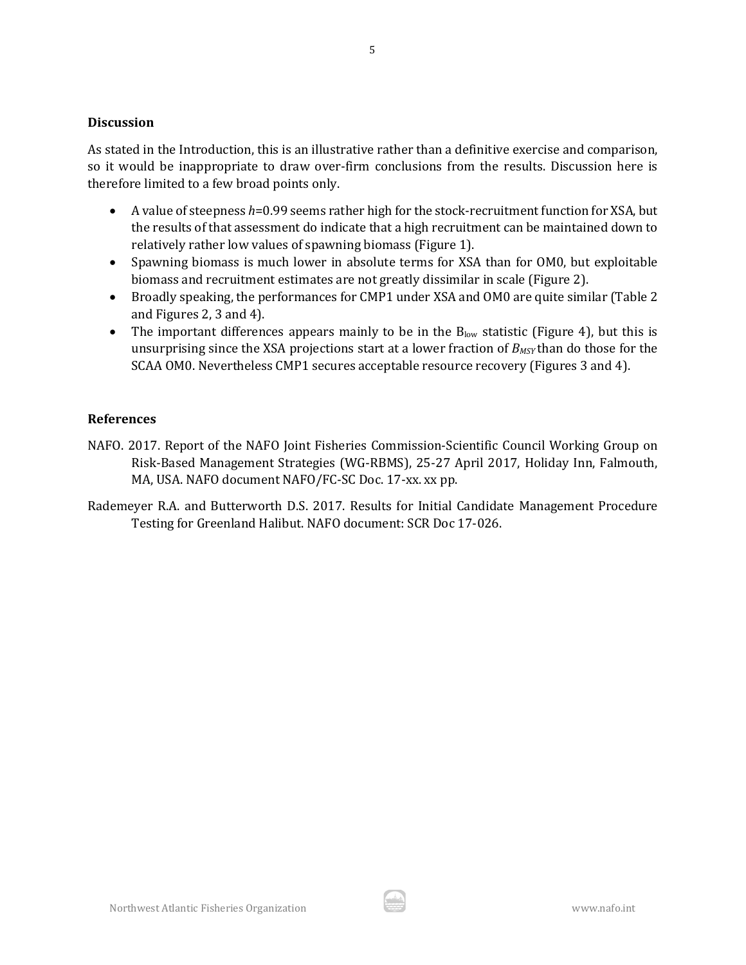#### **Discussion**

As stated in the Introduction, this is an illustrative rather than a definitive exercise and comparison, so it would be inappropriate to draw over-firm conclusions from the results. Discussion here is therefore limited to a few broad points only.

- A value of steepness *h*=0.99 seems rather high for the stock-recruitment function for XSA, but the results of that assessment do indicate that a high recruitment can be maintained down to relatively rather low values of spawning biomass (Figure 1).
- Spawning biomass is much lower in absolute terms for XSA than for OM0, but exploitable biomass and recruitment estimates are not greatly dissimilar in scale (Figure 2).
- Broadly speaking, the performances for CMP1 under XSA and OM0 are quite similar (Table 2) and Figures 2, 3 and 4).
- The important differences appears mainly to be in the  $B_{low}$  statistic (Figure 4), but this is unsurprising since the XSA projections start at a lower fraction of *BMSY* than do those for the SCAA OM0. Nevertheless CMP1 secures acceptable resource recovery (Figures 3 and 4).

## **References**

- NAFO. 2017. Report of the NAFO Joint Fisheries Commission-Scientific Council Working Group on Risk-Based Management Strategies (WG-RBMS), 25-27 April 2017, Holiday Inn, Falmouth, MA, USA. NAFO document NAFO/FC-SC Doc. 17-xx. xx pp.
- Rademeyer R.A. and Butterworth D.S. 2017. Results for Initial Candidate Management Procedure Testing for Greenland Halibut. NAFO document: SCR Doc 17-026.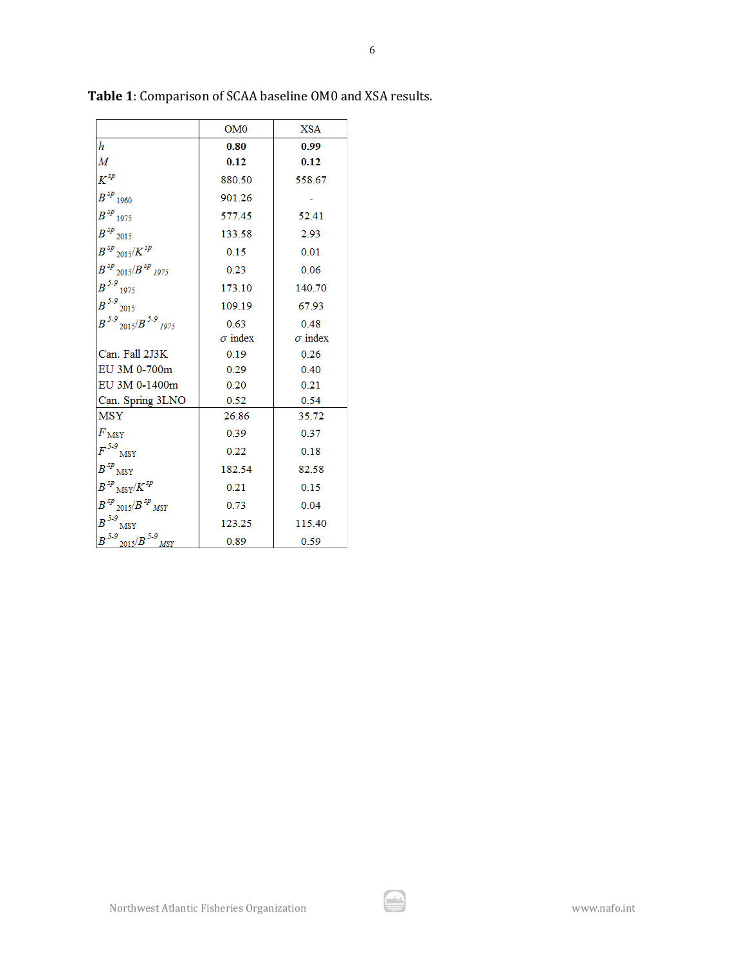|                                                  | OM <sub>0</sub> | XSA            |
|--------------------------------------------------|-----------------|----------------|
| h                                                | 0.80            | 0.99           |
| M                                                | 0.12            | 0.12           |
| $K^{sp}$                                         | 880.50          | 558.67         |
| $B^{sp}$ 1960                                    | 901.26          |                |
| $B^{sp}$ 1975                                    | 577.45          | 52.41          |
| $B^{sp}$ 2015                                    | 133.58          | 2.93           |
| $B$ $^{sp}$ $_{2015}\!/K$ $^{sp}$                | 0.15            | 0.01           |
| $B^{sp}$ 2015/ $B^{sp}$ 1975                     | 0.23            | 0.06           |
| $B^{5-9}$<br>1975                                | 173.10          | 140.70         |
| $B^{5-9}$<br>2015                                | 109.19          | 67.93          |
| $B^{5-9}$ 2015/ $B^{5-9}$ 1975                   | 0.63            | 0.48           |
|                                                  | $\sigma$ index  | $\sigma$ index |
| Can. Fall 2J3K                                   | 0.19            | 0.26           |
| EU 3M 0-700m                                     | 0.29            | 0.40           |
| EU 3M 0-1400m                                    | 0.20            | 0.21           |
| Can. Spring 3LNO                                 | 0.52            | 0.54           |
| <b>MSY</b>                                       | 26.86           | 35.72          |
| F <sub>MSY</sub>                                 | 0.39            | 0.37           |
| $F^{5.9}{}_{\rm MSY}$                            | 0.22            | 0.18           |
| $B^{sp}{}_{\rm MSY}$                             | 182.54          | 82.58          |
| $B^{sp}{}_{\rm MSY}\! / \! K^{sp}$               | 0.21            | 0.15           |
| $B$ $^{5p}$ $_{2015}\!/B$ $^{5p}$ $_{M \rm{SY}}$ | 0.73            | 0.04           |
| $B^{5-9}$<br><b>MSY</b>                          | 123.25          | 115.40         |
| $B^{5.9}$<br>$2015/B$ <sup>5-9</sup><br>MSY      | 0.89            | 0.59           |

**Table 1**: Comparison of SCAA baseline OM0 and XSA results.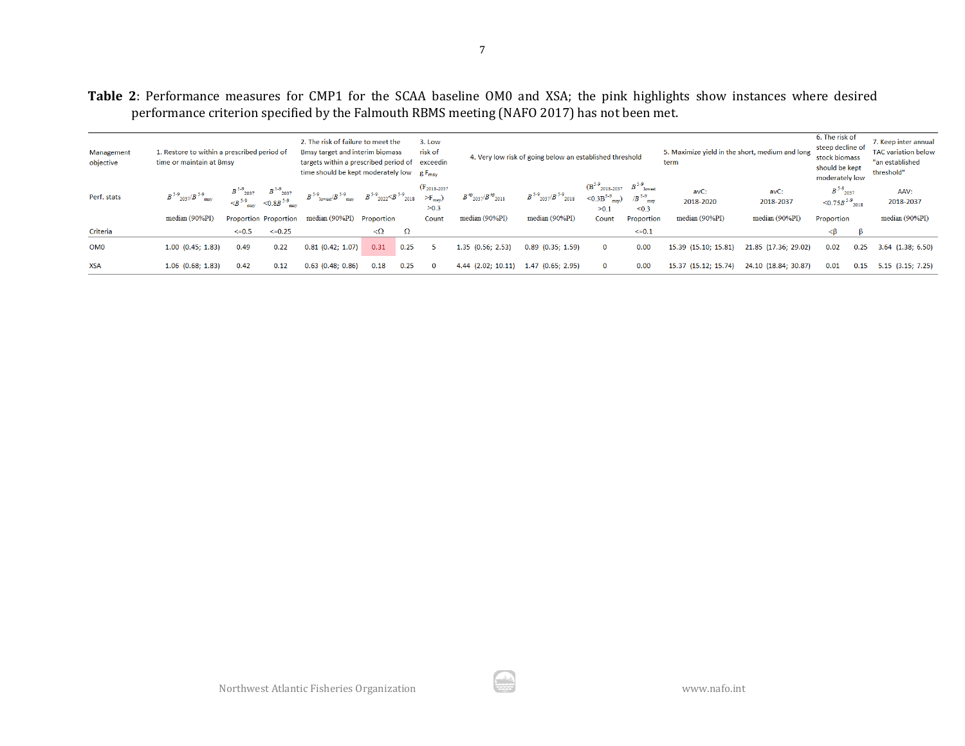**Table 2**: Performance measures for CMP1 for the SCAA baseline OM0 and XSA; the pink highlights show instances where desired performance criterion specified by the Falmouth RBMS meeting (NAFO 2017) has not been met.

| Management<br>objective | 1. Restore to within a prescribed period of<br>time or maintain at Bmsy |            |                                                                                                                                                                                                    | 2. The risk of failure to meet the<br>Bmsy target and interim biomass<br>targets within a prescribed period of exceedin<br>time should be kept moderately low $gF_{\text{msv}}$ |            |          | 3. Low<br>risk of                                    |                                                     | 4. Very low risk of going below an established threshold |                                                                                                                   |            | 5. Maximize yield in the short, medium and long<br>term |                      | 6. The risk of<br>steep decline of<br>stock biomass<br>should be kept<br>moderately low |      | 7. Keep inter annual<br><b>TAC</b> variation below<br>"an established<br>threshold" |
|-------------------------|-------------------------------------------------------------------------|------------|----------------------------------------------------------------------------------------------------------------------------------------------------------------------------------------------------|---------------------------------------------------------------------------------------------------------------------------------------------------------------------------------|------------|----------|------------------------------------------------------|-----------------------------------------------------|----------------------------------------------------------|-------------------------------------------------------------------------------------------------------------------|------------|---------------------------------------------------------|----------------------|-----------------------------------------------------------------------------------------|------|-------------------------------------------------------------------------------------|
| Perf. stats             | $B$ <sup>5-9</sup> 2037/ $B$ <sup>5-9</sup> msv                         |            | $\begin{array}{ccc} B \stackrel{5\cdot 9}{\sim} _{2037} & B \stackrel{5\cdot 9}{\sim} _{2037} \\ < B \stackrel{5\cdot 9}{\sim} _{\rm msy} & <0.8 B \stackrel{5\cdot 9}{\sim} _{\rm m} \end{array}$ | $B$ <sup>5.9</sup> lowest <sup>/</sup> $B$ <sup>5.9</sup> msy $B$ <sup>5.9</sup> 2022 $\le B$ <sup>5.9</sup> 2018                                                               |            |          | $(F_{2018-2037})$<br>$\geq$ F <sub>msv</sub><br>>0.3 | $B^{sp}$ <sub>2037</sub> / $B^{sp}$ <sub>2018</sub> | $B$ <sup>5-9</sup> 2037/ $B$ <sup>5-9</sup> 2018         | $(B^{5-9}_{2018-2037}$ $B^{5-9}_{10}$<br>$SO(3B^{5.9})$ <sub>msy</sub> ) /B <sup>5.9</sup> <sub>msy</sub><br>>0.1 | < 0.3      | avC:<br>2018-2020                                       | avC:<br>2018-2037    | $B^{5-9}$ 2037<br>$\leq 0.75B$ <sup>5-9</sup> <sub>2018</sub>                           |      | AAV:<br>2018-2037                                                                   |
|                         | median (90%PI)                                                          |            | Proportion Proportion                                                                                                                                                                              | median (90%PI)                                                                                                                                                                  | Proportion |          | Count                                                | median (90%PI)                                      | median (90%PI)                                           | Count                                                                                                             | Proportion | median (90%PI)                                          | median (90%PI)       | Proportion                                                                              |      | median (90%PI)                                                                      |
| Criteria                |                                                                         | $\leq 0.5$ | $\leq 0.25$                                                                                                                                                                                        |                                                                                                                                                                                 | $\Omega$   | $\Omega$ |                                                      |                                                     |                                                          |                                                                                                                   | $\leq 0.1$ |                                                         |                      |                                                                                         |      |                                                                                     |
| OM <sub>0</sub>         | $1.00$ $(0.45; 1.83)$                                                   | 0.49       | 0.22                                                                                                                                                                                               | $0.81$ $(0.42; 1.07)$                                                                                                                                                           | 0.31       | 0.25     |                                                      | $1.35$ $(0.56; 2.53)$                               | $0.89$ $(0.35; 1.59)$                                    | $\mathbf{O}$                                                                                                      | 0.00       | 15.39 (15.10; 15.81)                                    | 21.85 (17.36; 29.02) | 0.02                                                                                    | 0.25 | $3.64$ (1.38; 6.50)                                                                 |
| <b>XSA</b>              | $1.06$ $(0.68; 1.83)$                                                   | 0.42       | 0.12                                                                                                                                                                                               | $0.63$ (0.48; 0.86)                                                                                                                                                             | 0.18       | 0.25     | $\Omega$                                             | $4.44$ $(2.02; 10.11)$                              | $1.47$ (0.65; 2.95)                                      | $\Omega$                                                                                                          | 0.00       | 15.37 (15.12; 15.74)                                    | 24.10 (18.84; 30.87) | 0.01                                                                                    | 0.15 | $5.15$ $(3.15; 7.25)$                                                               |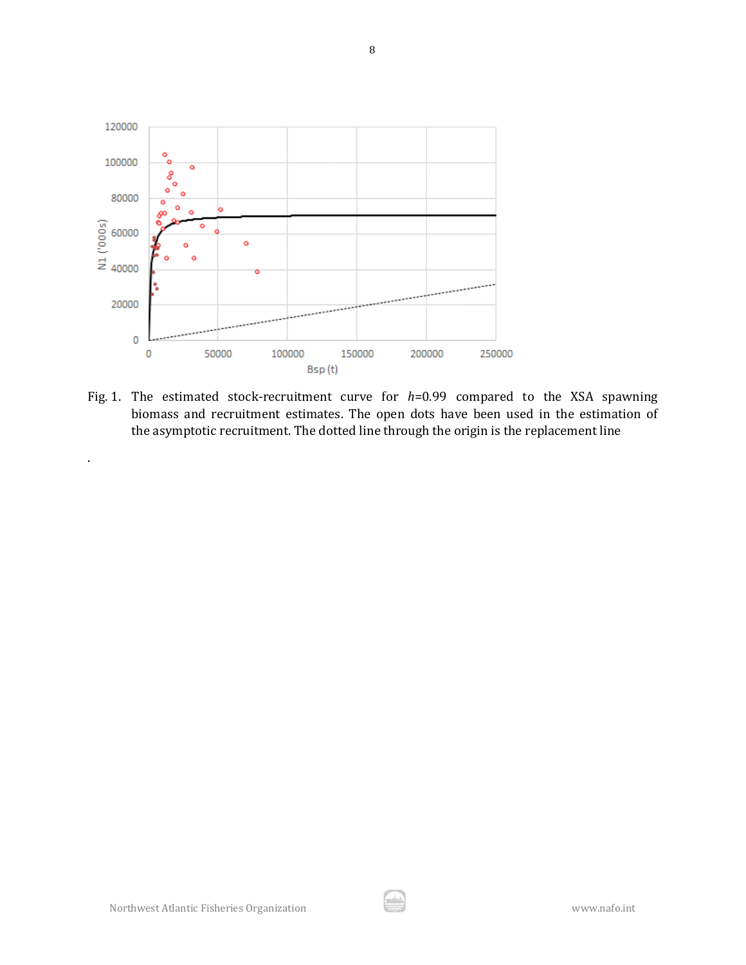

Fig. 1. The estimated stock-recruitment curve for *h*=0.99 compared to the XSA spawning biomass and recruitment estimates. The open dots have been used in the estimation of the asymptotic recruitment. The dotted line through the origin is the replacement line

.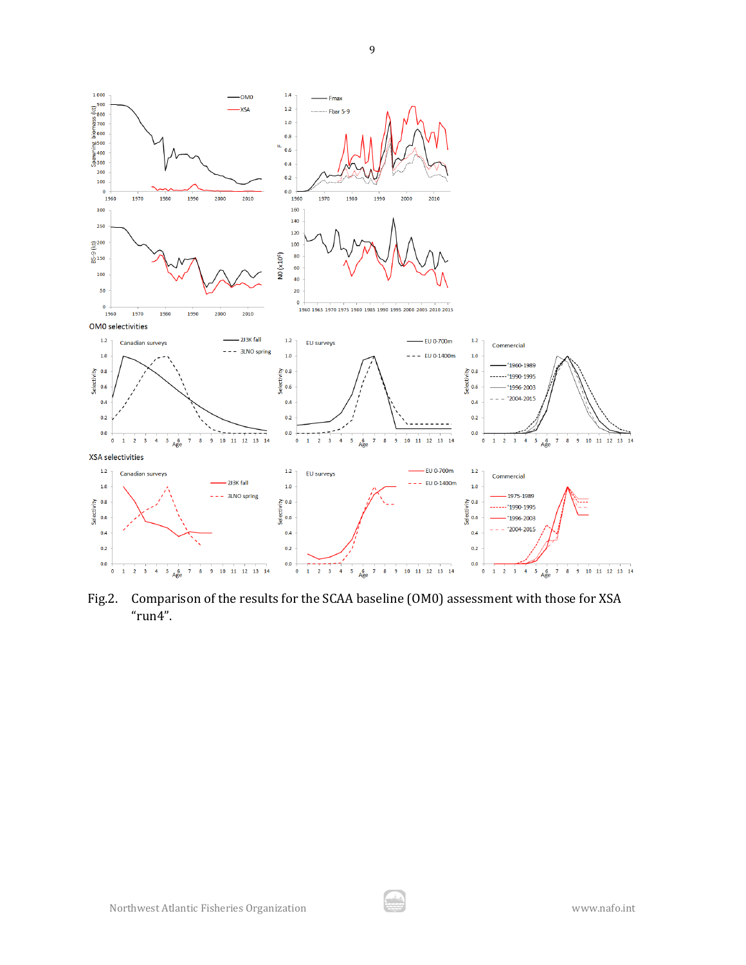

Fig.2. Comparison of the results for the SCAA baseline (OM0) assessment with those for XSA "run4".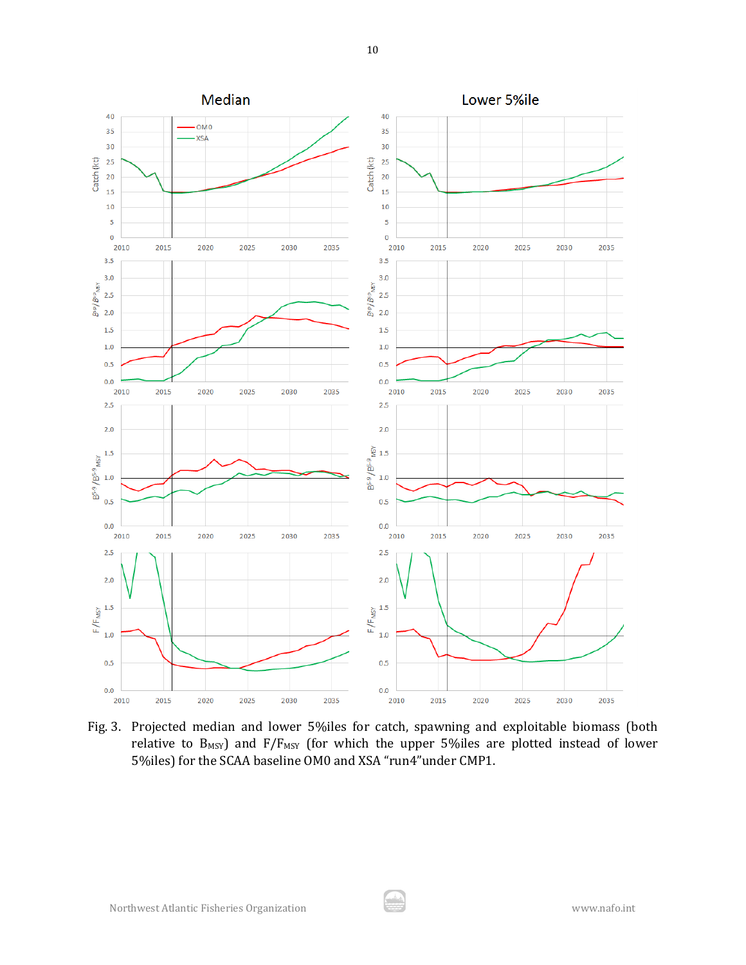

Fig. 3. Projected median and lower 5%iles for catch, spawning and exploitable biomass (both relative to  $B_{MSY}$ ) and  $F/F_{MSY}$  (for which the upper 5%iles are plotted instead of lower 5%iles) for the SCAA baseline OM0 and XSA "run4"under CMP1.

مد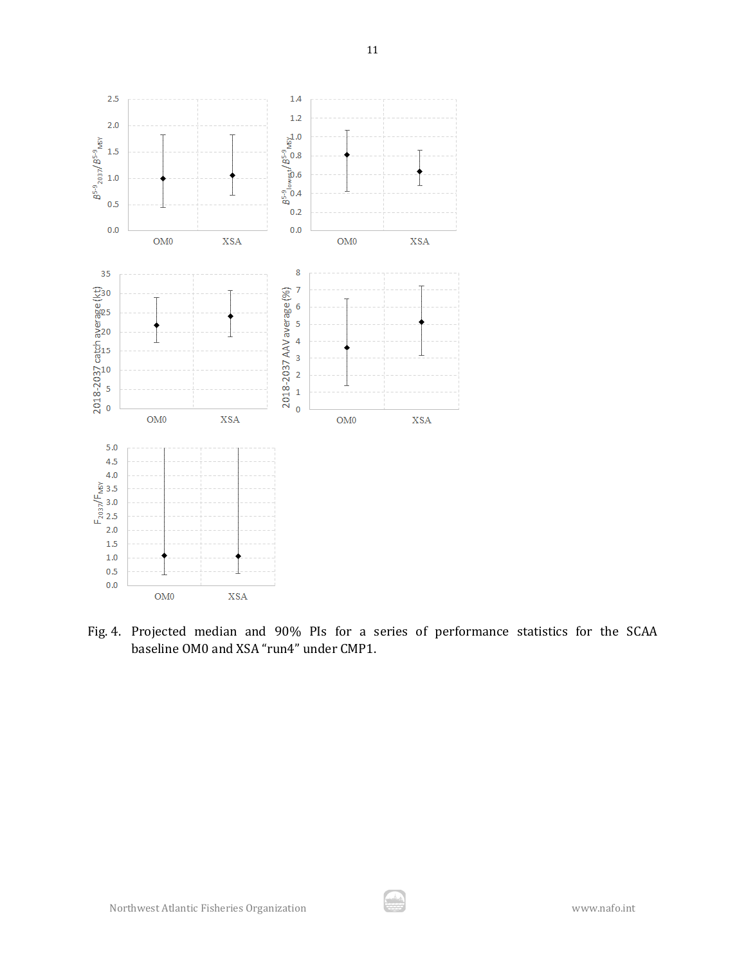

Fig. 4. Projected median and 90% PIs for a series of performance statistics for the SCAA baseline OM0 and XSA "run4" under CMP1.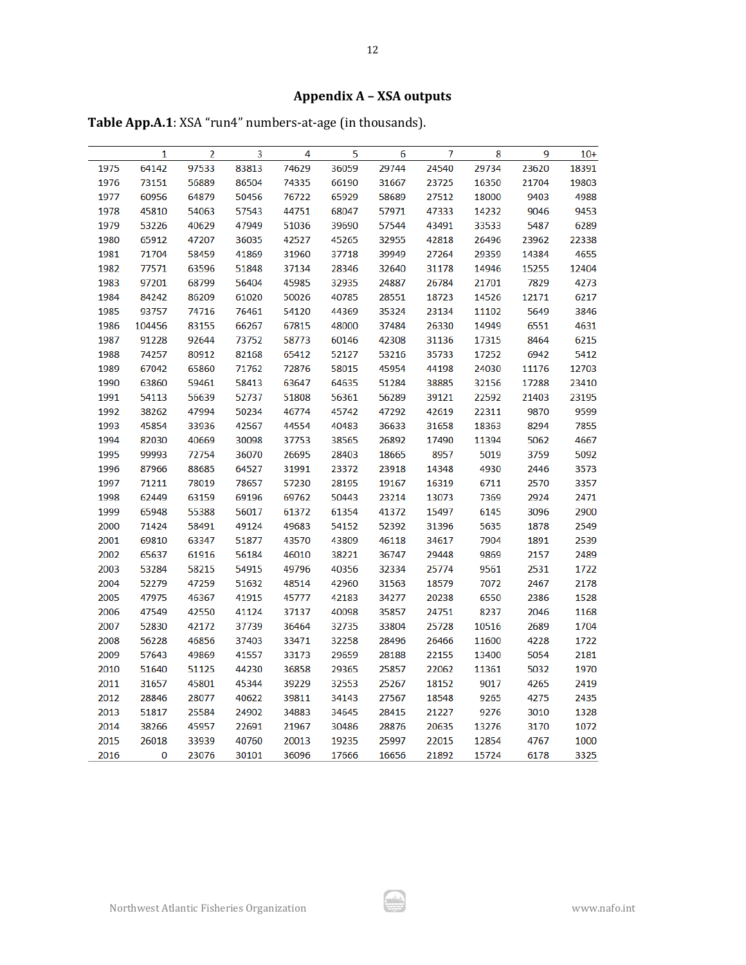# **Appendix A – XSA outputs**

**Table App.A.1**: XSA "run4" numbers-at-age (in thousands).

|      | 1      | 2     | 3     | 4     | 5     | 6     | 7     | 8     | 9     | $10+$ |
|------|--------|-------|-------|-------|-------|-------|-------|-------|-------|-------|
| 1975 | 64142  | 97533 | 83813 | 74629 | 36059 | 29744 | 24540 | 29734 | 23620 | 18391 |
| 1976 | 73151  | 56889 | 86504 | 74335 | 66190 | 31667 | 23725 | 16350 | 21704 | 19803 |
| 1977 | 60956  | 64879 | 50456 | 76722 | 65929 | 58689 | 27512 | 18000 | 9403  | 4988  |
| 1978 | 45810  | 54063 | 57543 | 44751 | 68047 | 57971 | 47333 | 14232 | 9046  | 9453  |
| 1979 | 53226  | 40629 | 47949 | 51036 | 39690 | 57544 | 43491 | 33533 | 5487  | 6289  |
| 1980 | 65912  | 47207 | 36035 | 42527 | 45265 | 32955 | 42818 | 26496 | 23962 | 22338 |
| 1981 | 71704  | 58459 | 41869 | 31960 | 37718 | 39949 | 27264 | 29359 | 14384 | 4655  |
| 1982 | 77571  | 63596 | 51848 | 37134 | 28346 | 32640 | 31178 | 14946 | 15255 | 12404 |
| 1983 | 97201  | 68799 | 56404 | 45985 | 32935 | 24887 | 26784 | 21701 | 7829  | 4273  |
| 1984 | 84242  | 86209 | 61020 | 50026 | 40785 | 28551 | 18723 | 14526 | 12171 | 6217  |
| 1985 | 93757  | 74716 | 76461 | 54120 | 44369 | 35324 | 23134 | 11102 | 5649  | 3846  |
| 1986 | 104456 | 83155 | 66267 | 67815 | 48000 | 37484 | 26330 | 14949 | 6551  | 4631  |
| 1987 | 91228  | 92644 | 73752 | 58773 | 60146 | 42308 | 31136 | 17315 | 8464  | 6215  |
| 1988 | 74257  | 80912 | 82168 | 65412 | 52127 | 53216 | 35733 | 17252 | 6942  | 5412  |
| 1989 | 67042  | 65860 | 71762 | 72876 | 58015 | 45954 | 44198 | 24030 | 11176 | 12703 |
| 1990 | 63860  | 59461 | 58413 | 63647 | 64635 | 51284 | 38885 | 32156 | 17288 | 23410 |
| 1991 | 54113  | 56639 | 52737 | 51808 | 56361 | 56289 | 39121 | 22592 | 21403 | 23195 |
| 1992 | 38262  | 47994 | 50234 | 46774 | 45742 | 47292 | 42619 | 22311 | 9870  | 9599  |
| 1993 | 45854  | 33936 | 42567 | 44554 | 40483 | 36633 | 31658 | 18363 | 8294  | 7855  |
| 1994 | 82030  | 40669 | 30098 | 37753 | 38565 | 26892 | 17490 | 11394 | 5062  | 4667  |
| 1995 | 99993  | 72754 | 36070 | 26695 | 28403 | 18665 | 8957  | 5019  | 3759  | 5092  |
| 1996 | 87966  | 88685 | 64527 | 31991 | 23372 | 23918 | 14348 | 4930  | 2446  | 3573  |
| 1997 | 71211  | 78019 | 78657 | 57230 | 28195 | 19167 | 16319 | 6711  | 2570  | 3357  |
| 1998 | 62449  | 63159 | 69196 | 69762 | 50443 | 23214 | 13073 | 7369  | 2924  | 2471  |
| 1999 | 65948  | 55388 | 56017 | 61372 | 61354 | 41372 | 15497 | 6145  | 3096  | 2900  |
| 2000 | 71424  | 58491 | 49124 | 49683 | 54152 | 52392 | 31396 | 5635  | 1878  | 2549  |
| 2001 | 69810  | 63347 | 51877 | 43570 | 43809 | 46118 | 34617 | 7904  | 1891  | 2539  |
| 2002 | 65637  | 61916 | 56184 | 46010 | 38221 | 36747 | 29448 | 9869  | 2157  | 2489  |
| 2003 | 53284  | 58215 | 54915 | 49796 | 40356 | 32334 | 25774 | 9561  | 2531  | 1722  |
| 2004 | 52279  | 47259 | 51632 | 48514 | 42960 | 31563 | 18579 | 7072  | 2467  | 2178  |
| 2005 | 47975  | 46367 | 41915 | 45777 | 42183 | 34277 | 20238 | 6550  | 2386  | 1528  |
| 2006 | 47549  | 42550 | 41124 | 37137 | 40098 | 35857 | 24751 | 8237  | 2046  | 1168  |
| 2007 | 52830  | 42172 | 37739 | 36464 | 32735 | 33804 | 25728 | 10516 | 2689  | 1704  |
| 2008 | 56228  | 46856 | 37403 | 33471 | 32258 | 28496 | 26466 | 11600 | 4228  | 1722  |
| 2009 | 57643  | 49869 | 41557 | 33173 | 29659 | 28188 | 22155 | 13400 | 5054  | 2181  |
| 2010 | 51640  | 51125 | 44230 | 36858 | 29365 | 25857 | 22062 | 11361 | 5032  | 1970  |
| 2011 | 31657  | 45801 | 45344 | 39229 | 32553 | 25267 | 18152 | 9017  | 4265  | 2419  |
| 2012 | 28846  | 28077 | 40622 | 39811 | 34143 | 27567 | 18548 | 9265  | 4275  | 2435  |
| 2013 | 51817  | 25584 | 24902 | 34883 | 34645 | 28415 | 21227 | 9276  | 3010  | 1328  |
| 2014 | 38266  | 45957 | 22691 | 21967 | 30486 | 28876 | 20635 | 13276 | 3170  | 1072  |
| 2015 | 26018  | 33939 | 40760 | 20013 | 19235 | 25997 | 22015 | 12854 | 4767  | 1000  |
| 2016 | 0      | 23076 | 30101 | 36096 | 17666 | 16656 | 21892 | 15724 | 6178  | 3325  |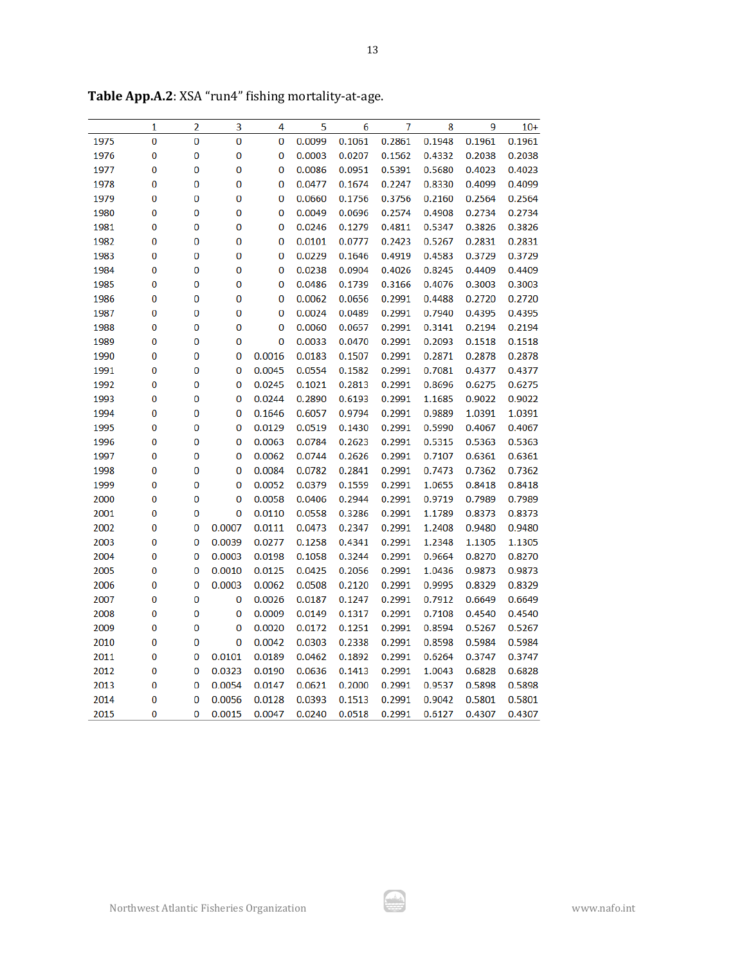| 3<br>5<br>9<br>$10+$<br>1<br>2<br>4<br>6<br>7<br>8<br>0.1061<br>0.1948<br>1975<br>0<br>0<br>0<br>0<br>0.0099<br>0.2861<br>0.1961<br>0.1961<br>0<br>0<br>0<br>0.0207<br>0.2038<br>1976<br>0<br>0.0003<br>0.1562<br>0.4332<br>0.2038<br>0<br>0.4023<br>1977<br>0<br>0<br>0<br>0.0086<br>0.0951<br>0.5391<br>0.5680<br>0.4023<br>0.4099<br>1978<br>0<br>0<br>0<br>0<br>0.0477<br>0.1674<br>0.2247<br>0.8330<br>0.4099<br>1979<br>0<br>0<br>0<br>0<br>0.1756<br>0.3756<br>0.2160<br>0.2564<br>0.2564<br>0.0660<br>0<br>0<br>0<br>0<br>0.0696<br>0.2574<br>0.4908<br>0.2734<br>1980<br>0.0049<br>0.2734<br>0<br>0<br>0<br>1981<br>0<br>0.0246<br>0.1279<br>0.4811<br>0.5347<br>0.3826<br>0.3826<br>0<br>0<br>0<br>0.5267<br>0.2831<br>1982<br>0<br>0.0101<br>0.0777<br>0.2423<br>0.2831<br>0.3729<br>1983<br>0<br>0<br>0<br>0<br>0.0229<br>0.1646<br>0.4919<br>0.4583<br>0.3729<br>1984<br>0<br>0<br>0<br>0<br>0.0238<br>0.0904<br>0.4026<br>0.8245<br>0.4409<br>0.4409<br>1985<br>0<br>0<br>0<br>0<br>0.0486<br>0.1739<br>0.3166<br>0.4076<br>0.3003<br>0.3003<br>1986<br>0<br>0<br>0<br>0<br>0.0062<br>0.0656<br>0.2991<br>0.4488<br>0.2720<br>0.2720<br>0<br>0<br>0<br>0<br>0.0024<br>0.0489<br>0.2991<br>0.7940<br>0.4395<br>1987<br>0.4395<br>0<br>0<br>0<br>0<br>0.2194<br>1988<br>0.0060<br>0.0657<br>0.2991<br>0.3141<br>0.2194<br>0<br>0<br>0<br>0.2093<br>1989<br>0<br>0.0033<br>0.0470<br>0.2991<br>0.1518<br>0.1518<br>0<br>0.0016<br>1990<br>0<br>0<br>0.0183<br>0.1507<br>0.2991<br>0.2871<br>0.2878<br>0.2878<br>0.0045<br>0.7081<br>0.4377<br>1991<br>0<br>0<br>0<br>0.0554<br>0.1582<br>0.2991<br>0.4377<br>1992<br>0<br>0<br>0<br>0.0245<br>0.1021<br>0.2813<br>0.2991<br>0.8696<br>0.6275<br>0.6275<br>1993<br>0<br>0<br>0<br>0.0244<br>0.2890<br>0.6193<br>0.2991<br>1.1685<br>0.9022<br>0.9022<br>1994<br>0<br>0<br>0<br>0.1646<br>0.6057<br>0.9794<br>0.2991<br>0.9889<br>1.0391<br>1.0391<br>1995<br>0<br>0<br>0<br>0.0129<br>0.0519<br>0.1430<br>0.2991<br>0.5990<br>0.4067<br>0.4067<br>0<br>0<br>0<br>0.0063<br>0.2991<br>0.5315<br>0.5363<br>1996<br>0.0784<br>0.2623<br>0.5363<br>0<br>0<br>0<br>0.0062<br>0.2626<br>0.2991<br>0.6361<br>1997<br>0.0744<br>0.7107<br>0.6361<br>0<br>0<br>0<br>0.7362<br>1998<br>0.0084<br>0.0782<br>0.2841<br>0.2991<br>0.7473<br>0.7362<br>0<br>0<br>0.0052<br>0.8418<br>1999<br>0<br>0.0379<br>0.1559<br>0.2991<br>1.0655<br>0.8418<br>2000<br>0<br>0<br>0<br>0.0058<br>0.0406<br>0.2944<br>0.2991<br>0.9719<br>0.7989<br>0.7989<br>2001<br>0<br>0<br>0<br>0.0110<br>0.0558<br>0.3286<br>0.2991<br>1.1789<br>0.8373<br>0.8373<br>2002<br>0<br>0<br>0.0007<br>0.0111<br>0.2347<br>0.2991<br>1.2408<br>0.9480<br>0.0473<br>0.9480<br>2003<br>0<br>0<br>0.0039<br>0.0277<br>0.1258<br>0.4341<br>0.2991<br>1.2348<br>1.1305<br>1.1305<br>0<br>0<br>0.0198<br>0.3244<br>0.2991<br>0.9664<br>0.8270<br>0.8270<br>2004<br>0.0003<br>0.1058<br>0<br>0<br>0.0010<br>0.0125<br>0.0425<br>0.2056<br>0.2991<br>0.9873<br>2005<br>1.0436<br>0.9873<br>0<br>0.8329<br>2006<br>0<br>0.0003<br>0.0062<br>0.0508<br>0.2120<br>0.2991<br>0.9995<br>0.8329<br>0<br>0<br>0.7912<br>0.6649<br>2007<br>0<br>0.0026<br>0.0187<br>0.1247<br>0.2991<br>0.6649<br>0<br>2008<br>0<br>0<br>0.0009<br>0.0149<br>0.1317<br>0.2991<br>0.7108<br>0.4540<br>0.4540<br>2009<br>0<br>0<br>0<br>0.0020<br>0.0172<br>0.1251<br>0.2991<br>0.8594<br>0.5267<br>0.5267<br>0<br>0<br>0<br>0.0042<br>0.2338<br>0.2991<br>0.8598<br>0.5984<br>2010<br>0.0303<br>0.5984<br>0<br>0<br>0.0101<br>0.0189<br>0.1892<br>0.2991<br>0.6264<br>0.3747<br>0.3747<br>2011<br>0.0462<br>0<br>0.1413<br>0.2991<br>0.6828<br>2012<br>0<br>0.0323<br>0.0190<br>0.0636<br>1.0043<br>0.6828<br>0<br>2013<br>0<br>0.0054<br>0.0147<br>0.0621<br>0.2000<br>0.2991<br>0.9537<br>0.5898<br>0.5898<br>2014<br>0<br>0<br>0.0056<br>0.0128<br>0.0393<br>0.1513<br>0.2991<br>0.9042<br>0.5801<br>0.5801<br>2015<br>0<br>0<br>0.0015<br>0.0047<br>0.0240<br>0.0518<br>0.2991<br>0.6127<br>0.4307<br>0.4307 |  |  |  |  |  |  |
|------------------------------------------------------------------------------------------------------------------------------------------------------------------------------------------------------------------------------------------------------------------------------------------------------------------------------------------------------------------------------------------------------------------------------------------------------------------------------------------------------------------------------------------------------------------------------------------------------------------------------------------------------------------------------------------------------------------------------------------------------------------------------------------------------------------------------------------------------------------------------------------------------------------------------------------------------------------------------------------------------------------------------------------------------------------------------------------------------------------------------------------------------------------------------------------------------------------------------------------------------------------------------------------------------------------------------------------------------------------------------------------------------------------------------------------------------------------------------------------------------------------------------------------------------------------------------------------------------------------------------------------------------------------------------------------------------------------------------------------------------------------------------------------------------------------------------------------------------------------------------------------------------------------------------------------------------------------------------------------------------------------------------------------------------------------------------------------------------------------------------------------------------------------------------------------------------------------------------------------------------------------------------------------------------------------------------------------------------------------------------------------------------------------------------------------------------------------------------------------------------------------------------------------------------------------------------------------------------------------------------------------------------------------------------------------------------------------------------------------------------------------------------------------------------------------------------------------------------------------------------------------------------------------------------------------------------------------------------------------------------------------------------------------------------------------------------------------------------------------------------------------------------------------------------------------------------------------------------------------------------------------------------------------------------------------------------------------------------------------------------------------------------------------------------------------------------------------------------------------------------------------------------------------------------------------------------------------------------------------------------------------------------------------------------------------------------------------------------------------------------------------------------------------------------------------------------------------------------------------------------------------------------------------------------------------------------------------------------------------------|--|--|--|--|--|--|
|                                                                                                                                                                                                                                                                                                                                                                                                                                                                                                                                                                                                                                                                                                                                                                                                                                                                                                                                                                                                                                                                                                                                                                                                                                                                                                                                                                                                                                                                                                                                                                                                                                                                                                                                                                                                                                                                                                                                                                                                                                                                                                                                                                                                                                                                                                                                                                                                                                                                                                                                                                                                                                                                                                                                                                                                                                                                                                                                                                                                                                                                                                                                                                                                                                                                                                                                                                                                                                                                                                                                                                                                                                                                                                                                                                                                                                                                                                                                                                                                |  |  |  |  |  |  |
|                                                                                                                                                                                                                                                                                                                                                                                                                                                                                                                                                                                                                                                                                                                                                                                                                                                                                                                                                                                                                                                                                                                                                                                                                                                                                                                                                                                                                                                                                                                                                                                                                                                                                                                                                                                                                                                                                                                                                                                                                                                                                                                                                                                                                                                                                                                                                                                                                                                                                                                                                                                                                                                                                                                                                                                                                                                                                                                                                                                                                                                                                                                                                                                                                                                                                                                                                                                                                                                                                                                                                                                                                                                                                                                                                                                                                                                                                                                                                                                                |  |  |  |  |  |  |
|                                                                                                                                                                                                                                                                                                                                                                                                                                                                                                                                                                                                                                                                                                                                                                                                                                                                                                                                                                                                                                                                                                                                                                                                                                                                                                                                                                                                                                                                                                                                                                                                                                                                                                                                                                                                                                                                                                                                                                                                                                                                                                                                                                                                                                                                                                                                                                                                                                                                                                                                                                                                                                                                                                                                                                                                                                                                                                                                                                                                                                                                                                                                                                                                                                                                                                                                                                                                                                                                                                                                                                                                                                                                                                                                                                                                                                                                                                                                                                                                |  |  |  |  |  |  |
|                                                                                                                                                                                                                                                                                                                                                                                                                                                                                                                                                                                                                                                                                                                                                                                                                                                                                                                                                                                                                                                                                                                                                                                                                                                                                                                                                                                                                                                                                                                                                                                                                                                                                                                                                                                                                                                                                                                                                                                                                                                                                                                                                                                                                                                                                                                                                                                                                                                                                                                                                                                                                                                                                                                                                                                                                                                                                                                                                                                                                                                                                                                                                                                                                                                                                                                                                                                                                                                                                                                                                                                                                                                                                                                                                                                                                                                                                                                                                                                                |  |  |  |  |  |  |
|                                                                                                                                                                                                                                                                                                                                                                                                                                                                                                                                                                                                                                                                                                                                                                                                                                                                                                                                                                                                                                                                                                                                                                                                                                                                                                                                                                                                                                                                                                                                                                                                                                                                                                                                                                                                                                                                                                                                                                                                                                                                                                                                                                                                                                                                                                                                                                                                                                                                                                                                                                                                                                                                                                                                                                                                                                                                                                                                                                                                                                                                                                                                                                                                                                                                                                                                                                                                                                                                                                                                                                                                                                                                                                                                                                                                                                                                                                                                                                                                |  |  |  |  |  |  |
|                                                                                                                                                                                                                                                                                                                                                                                                                                                                                                                                                                                                                                                                                                                                                                                                                                                                                                                                                                                                                                                                                                                                                                                                                                                                                                                                                                                                                                                                                                                                                                                                                                                                                                                                                                                                                                                                                                                                                                                                                                                                                                                                                                                                                                                                                                                                                                                                                                                                                                                                                                                                                                                                                                                                                                                                                                                                                                                                                                                                                                                                                                                                                                                                                                                                                                                                                                                                                                                                                                                                                                                                                                                                                                                                                                                                                                                                                                                                                                                                |  |  |  |  |  |  |
|                                                                                                                                                                                                                                                                                                                                                                                                                                                                                                                                                                                                                                                                                                                                                                                                                                                                                                                                                                                                                                                                                                                                                                                                                                                                                                                                                                                                                                                                                                                                                                                                                                                                                                                                                                                                                                                                                                                                                                                                                                                                                                                                                                                                                                                                                                                                                                                                                                                                                                                                                                                                                                                                                                                                                                                                                                                                                                                                                                                                                                                                                                                                                                                                                                                                                                                                                                                                                                                                                                                                                                                                                                                                                                                                                                                                                                                                                                                                                                                                |  |  |  |  |  |  |
|                                                                                                                                                                                                                                                                                                                                                                                                                                                                                                                                                                                                                                                                                                                                                                                                                                                                                                                                                                                                                                                                                                                                                                                                                                                                                                                                                                                                                                                                                                                                                                                                                                                                                                                                                                                                                                                                                                                                                                                                                                                                                                                                                                                                                                                                                                                                                                                                                                                                                                                                                                                                                                                                                                                                                                                                                                                                                                                                                                                                                                                                                                                                                                                                                                                                                                                                                                                                                                                                                                                                                                                                                                                                                                                                                                                                                                                                                                                                                                                                |  |  |  |  |  |  |
|                                                                                                                                                                                                                                                                                                                                                                                                                                                                                                                                                                                                                                                                                                                                                                                                                                                                                                                                                                                                                                                                                                                                                                                                                                                                                                                                                                                                                                                                                                                                                                                                                                                                                                                                                                                                                                                                                                                                                                                                                                                                                                                                                                                                                                                                                                                                                                                                                                                                                                                                                                                                                                                                                                                                                                                                                                                                                                                                                                                                                                                                                                                                                                                                                                                                                                                                                                                                                                                                                                                                                                                                                                                                                                                                                                                                                                                                                                                                                                                                |  |  |  |  |  |  |
|                                                                                                                                                                                                                                                                                                                                                                                                                                                                                                                                                                                                                                                                                                                                                                                                                                                                                                                                                                                                                                                                                                                                                                                                                                                                                                                                                                                                                                                                                                                                                                                                                                                                                                                                                                                                                                                                                                                                                                                                                                                                                                                                                                                                                                                                                                                                                                                                                                                                                                                                                                                                                                                                                                                                                                                                                                                                                                                                                                                                                                                                                                                                                                                                                                                                                                                                                                                                                                                                                                                                                                                                                                                                                                                                                                                                                                                                                                                                                                                                |  |  |  |  |  |  |
|                                                                                                                                                                                                                                                                                                                                                                                                                                                                                                                                                                                                                                                                                                                                                                                                                                                                                                                                                                                                                                                                                                                                                                                                                                                                                                                                                                                                                                                                                                                                                                                                                                                                                                                                                                                                                                                                                                                                                                                                                                                                                                                                                                                                                                                                                                                                                                                                                                                                                                                                                                                                                                                                                                                                                                                                                                                                                                                                                                                                                                                                                                                                                                                                                                                                                                                                                                                                                                                                                                                                                                                                                                                                                                                                                                                                                                                                                                                                                                                                |  |  |  |  |  |  |
|                                                                                                                                                                                                                                                                                                                                                                                                                                                                                                                                                                                                                                                                                                                                                                                                                                                                                                                                                                                                                                                                                                                                                                                                                                                                                                                                                                                                                                                                                                                                                                                                                                                                                                                                                                                                                                                                                                                                                                                                                                                                                                                                                                                                                                                                                                                                                                                                                                                                                                                                                                                                                                                                                                                                                                                                                                                                                                                                                                                                                                                                                                                                                                                                                                                                                                                                                                                                                                                                                                                                                                                                                                                                                                                                                                                                                                                                                                                                                                                                |  |  |  |  |  |  |
|                                                                                                                                                                                                                                                                                                                                                                                                                                                                                                                                                                                                                                                                                                                                                                                                                                                                                                                                                                                                                                                                                                                                                                                                                                                                                                                                                                                                                                                                                                                                                                                                                                                                                                                                                                                                                                                                                                                                                                                                                                                                                                                                                                                                                                                                                                                                                                                                                                                                                                                                                                                                                                                                                                                                                                                                                                                                                                                                                                                                                                                                                                                                                                                                                                                                                                                                                                                                                                                                                                                                                                                                                                                                                                                                                                                                                                                                                                                                                                                                |  |  |  |  |  |  |
|                                                                                                                                                                                                                                                                                                                                                                                                                                                                                                                                                                                                                                                                                                                                                                                                                                                                                                                                                                                                                                                                                                                                                                                                                                                                                                                                                                                                                                                                                                                                                                                                                                                                                                                                                                                                                                                                                                                                                                                                                                                                                                                                                                                                                                                                                                                                                                                                                                                                                                                                                                                                                                                                                                                                                                                                                                                                                                                                                                                                                                                                                                                                                                                                                                                                                                                                                                                                                                                                                                                                                                                                                                                                                                                                                                                                                                                                                                                                                                                                |  |  |  |  |  |  |
|                                                                                                                                                                                                                                                                                                                                                                                                                                                                                                                                                                                                                                                                                                                                                                                                                                                                                                                                                                                                                                                                                                                                                                                                                                                                                                                                                                                                                                                                                                                                                                                                                                                                                                                                                                                                                                                                                                                                                                                                                                                                                                                                                                                                                                                                                                                                                                                                                                                                                                                                                                                                                                                                                                                                                                                                                                                                                                                                                                                                                                                                                                                                                                                                                                                                                                                                                                                                                                                                                                                                                                                                                                                                                                                                                                                                                                                                                                                                                                                                |  |  |  |  |  |  |
|                                                                                                                                                                                                                                                                                                                                                                                                                                                                                                                                                                                                                                                                                                                                                                                                                                                                                                                                                                                                                                                                                                                                                                                                                                                                                                                                                                                                                                                                                                                                                                                                                                                                                                                                                                                                                                                                                                                                                                                                                                                                                                                                                                                                                                                                                                                                                                                                                                                                                                                                                                                                                                                                                                                                                                                                                                                                                                                                                                                                                                                                                                                                                                                                                                                                                                                                                                                                                                                                                                                                                                                                                                                                                                                                                                                                                                                                                                                                                                                                |  |  |  |  |  |  |
|                                                                                                                                                                                                                                                                                                                                                                                                                                                                                                                                                                                                                                                                                                                                                                                                                                                                                                                                                                                                                                                                                                                                                                                                                                                                                                                                                                                                                                                                                                                                                                                                                                                                                                                                                                                                                                                                                                                                                                                                                                                                                                                                                                                                                                                                                                                                                                                                                                                                                                                                                                                                                                                                                                                                                                                                                                                                                                                                                                                                                                                                                                                                                                                                                                                                                                                                                                                                                                                                                                                                                                                                                                                                                                                                                                                                                                                                                                                                                                                                |  |  |  |  |  |  |
|                                                                                                                                                                                                                                                                                                                                                                                                                                                                                                                                                                                                                                                                                                                                                                                                                                                                                                                                                                                                                                                                                                                                                                                                                                                                                                                                                                                                                                                                                                                                                                                                                                                                                                                                                                                                                                                                                                                                                                                                                                                                                                                                                                                                                                                                                                                                                                                                                                                                                                                                                                                                                                                                                                                                                                                                                                                                                                                                                                                                                                                                                                                                                                                                                                                                                                                                                                                                                                                                                                                                                                                                                                                                                                                                                                                                                                                                                                                                                                                                |  |  |  |  |  |  |
|                                                                                                                                                                                                                                                                                                                                                                                                                                                                                                                                                                                                                                                                                                                                                                                                                                                                                                                                                                                                                                                                                                                                                                                                                                                                                                                                                                                                                                                                                                                                                                                                                                                                                                                                                                                                                                                                                                                                                                                                                                                                                                                                                                                                                                                                                                                                                                                                                                                                                                                                                                                                                                                                                                                                                                                                                                                                                                                                                                                                                                                                                                                                                                                                                                                                                                                                                                                                                                                                                                                                                                                                                                                                                                                                                                                                                                                                                                                                                                                                |  |  |  |  |  |  |
|                                                                                                                                                                                                                                                                                                                                                                                                                                                                                                                                                                                                                                                                                                                                                                                                                                                                                                                                                                                                                                                                                                                                                                                                                                                                                                                                                                                                                                                                                                                                                                                                                                                                                                                                                                                                                                                                                                                                                                                                                                                                                                                                                                                                                                                                                                                                                                                                                                                                                                                                                                                                                                                                                                                                                                                                                                                                                                                                                                                                                                                                                                                                                                                                                                                                                                                                                                                                                                                                                                                                                                                                                                                                                                                                                                                                                                                                                                                                                                                                |  |  |  |  |  |  |
|                                                                                                                                                                                                                                                                                                                                                                                                                                                                                                                                                                                                                                                                                                                                                                                                                                                                                                                                                                                                                                                                                                                                                                                                                                                                                                                                                                                                                                                                                                                                                                                                                                                                                                                                                                                                                                                                                                                                                                                                                                                                                                                                                                                                                                                                                                                                                                                                                                                                                                                                                                                                                                                                                                                                                                                                                                                                                                                                                                                                                                                                                                                                                                                                                                                                                                                                                                                                                                                                                                                                                                                                                                                                                                                                                                                                                                                                                                                                                                                                |  |  |  |  |  |  |
|                                                                                                                                                                                                                                                                                                                                                                                                                                                                                                                                                                                                                                                                                                                                                                                                                                                                                                                                                                                                                                                                                                                                                                                                                                                                                                                                                                                                                                                                                                                                                                                                                                                                                                                                                                                                                                                                                                                                                                                                                                                                                                                                                                                                                                                                                                                                                                                                                                                                                                                                                                                                                                                                                                                                                                                                                                                                                                                                                                                                                                                                                                                                                                                                                                                                                                                                                                                                                                                                                                                                                                                                                                                                                                                                                                                                                                                                                                                                                                                                |  |  |  |  |  |  |
|                                                                                                                                                                                                                                                                                                                                                                                                                                                                                                                                                                                                                                                                                                                                                                                                                                                                                                                                                                                                                                                                                                                                                                                                                                                                                                                                                                                                                                                                                                                                                                                                                                                                                                                                                                                                                                                                                                                                                                                                                                                                                                                                                                                                                                                                                                                                                                                                                                                                                                                                                                                                                                                                                                                                                                                                                                                                                                                                                                                                                                                                                                                                                                                                                                                                                                                                                                                                                                                                                                                                                                                                                                                                                                                                                                                                                                                                                                                                                                                                |  |  |  |  |  |  |
|                                                                                                                                                                                                                                                                                                                                                                                                                                                                                                                                                                                                                                                                                                                                                                                                                                                                                                                                                                                                                                                                                                                                                                                                                                                                                                                                                                                                                                                                                                                                                                                                                                                                                                                                                                                                                                                                                                                                                                                                                                                                                                                                                                                                                                                                                                                                                                                                                                                                                                                                                                                                                                                                                                                                                                                                                                                                                                                                                                                                                                                                                                                                                                                                                                                                                                                                                                                                                                                                                                                                                                                                                                                                                                                                                                                                                                                                                                                                                                                                |  |  |  |  |  |  |
|                                                                                                                                                                                                                                                                                                                                                                                                                                                                                                                                                                                                                                                                                                                                                                                                                                                                                                                                                                                                                                                                                                                                                                                                                                                                                                                                                                                                                                                                                                                                                                                                                                                                                                                                                                                                                                                                                                                                                                                                                                                                                                                                                                                                                                                                                                                                                                                                                                                                                                                                                                                                                                                                                                                                                                                                                                                                                                                                                                                                                                                                                                                                                                                                                                                                                                                                                                                                                                                                                                                                                                                                                                                                                                                                                                                                                                                                                                                                                                                                |  |  |  |  |  |  |
|                                                                                                                                                                                                                                                                                                                                                                                                                                                                                                                                                                                                                                                                                                                                                                                                                                                                                                                                                                                                                                                                                                                                                                                                                                                                                                                                                                                                                                                                                                                                                                                                                                                                                                                                                                                                                                                                                                                                                                                                                                                                                                                                                                                                                                                                                                                                                                                                                                                                                                                                                                                                                                                                                                                                                                                                                                                                                                                                                                                                                                                                                                                                                                                                                                                                                                                                                                                                                                                                                                                                                                                                                                                                                                                                                                                                                                                                                                                                                                                                |  |  |  |  |  |  |
|                                                                                                                                                                                                                                                                                                                                                                                                                                                                                                                                                                                                                                                                                                                                                                                                                                                                                                                                                                                                                                                                                                                                                                                                                                                                                                                                                                                                                                                                                                                                                                                                                                                                                                                                                                                                                                                                                                                                                                                                                                                                                                                                                                                                                                                                                                                                                                                                                                                                                                                                                                                                                                                                                                                                                                                                                                                                                                                                                                                                                                                                                                                                                                                                                                                                                                                                                                                                                                                                                                                                                                                                                                                                                                                                                                                                                                                                                                                                                                                                |  |  |  |  |  |  |
|                                                                                                                                                                                                                                                                                                                                                                                                                                                                                                                                                                                                                                                                                                                                                                                                                                                                                                                                                                                                                                                                                                                                                                                                                                                                                                                                                                                                                                                                                                                                                                                                                                                                                                                                                                                                                                                                                                                                                                                                                                                                                                                                                                                                                                                                                                                                                                                                                                                                                                                                                                                                                                                                                                                                                                                                                                                                                                                                                                                                                                                                                                                                                                                                                                                                                                                                                                                                                                                                                                                                                                                                                                                                                                                                                                                                                                                                                                                                                                                                |  |  |  |  |  |  |
|                                                                                                                                                                                                                                                                                                                                                                                                                                                                                                                                                                                                                                                                                                                                                                                                                                                                                                                                                                                                                                                                                                                                                                                                                                                                                                                                                                                                                                                                                                                                                                                                                                                                                                                                                                                                                                                                                                                                                                                                                                                                                                                                                                                                                                                                                                                                                                                                                                                                                                                                                                                                                                                                                                                                                                                                                                                                                                                                                                                                                                                                                                                                                                                                                                                                                                                                                                                                                                                                                                                                                                                                                                                                                                                                                                                                                                                                                                                                                                                                |  |  |  |  |  |  |
|                                                                                                                                                                                                                                                                                                                                                                                                                                                                                                                                                                                                                                                                                                                                                                                                                                                                                                                                                                                                                                                                                                                                                                                                                                                                                                                                                                                                                                                                                                                                                                                                                                                                                                                                                                                                                                                                                                                                                                                                                                                                                                                                                                                                                                                                                                                                                                                                                                                                                                                                                                                                                                                                                                                                                                                                                                                                                                                                                                                                                                                                                                                                                                                                                                                                                                                                                                                                                                                                                                                                                                                                                                                                                                                                                                                                                                                                                                                                                                                                |  |  |  |  |  |  |
|                                                                                                                                                                                                                                                                                                                                                                                                                                                                                                                                                                                                                                                                                                                                                                                                                                                                                                                                                                                                                                                                                                                                                                                                                                                                                                                                                                                                                                                                                                                                                                                                                                                                                                                                                                                                                                                                                                                                                                                                                                                                                                                                                                                                                                                                                                                                                                                                                                                                                                                                                                                                                                                                                                                                                                                                                                                                                                                                                                                                                                                                                                                                                                                                                                                                                                                                                                                                                                                                                                                                                                                                                                                                                                                                                                                                                                                                                                                                                                                                |  |  |  |  |  |  |
|                                                                                                                                                                                                                                                                                                                                                                                                                                                                                                                                                                                                                                                                                                                                                                                                                                                                                                                                                                                                                                                                                                                                                                                                                                                                                                                                                                                                                                                                                                                                                                                                                                                                                                                                                                                                                                                                                                                                                                                                                                                                                                                                                                                                                                                                                                                                                                                                                                                                                                                                                                                                                                                                                                                                                                                                                                                                                                                                                                                                                                                                                                                                                                                                                                                                                                                                                                                                                                                                                                                                                                                                                                                                                                                                                                                                                                                                                                                                                                                                |  |  |  |  |  |  |
|                                                                                                                                                                                                                                                                                                                                                                                                                                                                                                                                                                                                                                                                                                                                                                                                                                                                                                                                                                                                                                                                                                                                                                                                                                                                                                                                                                                                                                                                                                                                                                                                                                                                                                                                                                                                                                                                                                                                                                                                                                                                                                                                                                                                                                                                                                                                                                                                                                                                                                                                                                                                                                                                                                                                                                                                                                                                                                                                                                                                                                                                                                                                                                                                                                                                                                                                                                                                                                                                                                                                                                                                                                                                                                                                                                                                                                                                                                                                                                                                |  |  |  |  |  |  |
|                                                                                                                                                                                                                                                                                                                                                                                                                                                                                                                                                                                                                                                                                                                                                                                                                                                                                                                                                                                                                                                                                                                                                                                                                                                                                                                                                                                                                                                                                                                                                                                                                                                                                                                                                                                                                                                                                                                                                                                                                                                                                                                                                                                                                                                                                                                                                                                                                                                                                                                                                                                                                                                                                                                                                                                                                                                                                                                                                                                                                                                                                                                                                                                                                                                                                                                                                                                                                                                                                                                                                                                                                                                                                                                                                                                                                                                                                                                                                                                                |  |  |  |  |  |  |
|                                                                                                                                                                                                                                                                                                                                                                                                                                                                                                                                                                                                                                                                                                                                                                                                                                                                                                                                                                                                                                                                                                                                                                                                                                                                                                                                                                                                                                                                                                                                                                                                                                                                                                                                                                                                                                                                                                                                                                                                                                                                                                                                                                                                                                                                                                                                                                                                                                                                                                                                                                                                                                                                                                                                                                                                                                                                                                                                                                                                                                                                                                                                                                                                                                                                                                                                                                                                                                                                                                                                                                                                                                                                                                                                                                                                                                                                                                                                                                                                |  |  |  |  |  |  |
|                                                                                                                                                                                                                                                                                                                                                                                                                                                                                                                                                                                                                                                                                                                                                                                                                                                                                                                                                                                                                                                                                                                                                                                                                                                                                                                                                                                                                                                                                                                                                                                                                                                                                                                                                                                                                                                                                                                                                                                                                                                                                                                                                                                                                                                                                                                                                                                                                                                                                                                                                                                                                                                                                                                                                                                                                                                                                                                                                                                                                                                                                                                                                                                                                                                                                                                                                                                                                                                                                                                                                                                                                                                                                                                                                                                                                                                                                                                                                                                                |  |  |  |  |  |  |
|                                                                                                                                                                                                                                                                                                                                                                                                                                                                                                                                                                                                                                                                                                                                                                                                                                                                                                                                                                                                                                                                                                                                                                                                                                                                                                                                                                                                                                                                                                                                                                                                                                                                                                                                                                                                                                                                                                                                                                                                                                                                                                                                                                                                                                                                                                                                                                                                                                                                                                                                                                                                                                                                                                                                                                                                                                                                                                                                                                                                                                                                                                                                                                                                                                                                                                                                                                                                                                                                                                                                                                                                                                                                                                                                                                                                                                                                                                                                                                                                |  |  |  |  |  |  |
|                                                                                                                                                                                                                                                                                                                                                                                                                                                                                                                                                                                                                                                                                                                                                                                                                                                                                                                                                                                                                                                                                                                                                                                                                                                                                                                                                                                                                                                                                                                                                                                                                                                                                                                                                                                                                                                                                                                                                                                                                                                                                                                                                                                                                                                                                                                                                                                                                                                                                                                                                                                                                                                                                                                                                                                                                                                                                                                                                                                                                                                                                                                                                                                                                                                                                                                                                                                                                                                                                                                                                                                                                                                                                                                                                                                                                                                                                                                                                                                                |  |  |  |  |  |  |
|                                                                                                                                                                                                                                                                                                                                                                                                                                                                                                                                                                                                                                                                                                                                                                                                                                                                                                                                                                                                                                                                                                                                                                                                                                                                                                                                                                                                                                                                                                                                                                                                                                                                                                                                                                                                                                                                                                                                                                                                                                                                                                                                                                                                                                                                                                                                                                                                                                                                                                                                                                                                                                                                                                                                                                                                                                                                                                                                                                                                                                                                                                                                                                                                                                                                                                                                                                                                                                                                                                                                                                                                                                                                                                                                                                                                                                                                                                                                                                                                |  |  |  |  |  |  |
|                                                                                                                                                                                                                                                                                                                                                                                                                                                                                                                                                                                                                                                                                                                                                                                                                                                                                                                                                                                                                                                                                                                                                                                                                                                                                                                                                                                                                                                                                                                                                                                                                                                                                                                                                                                                                                                                                                                                                                                                                                                                                                                                                                                                                                                                                                                                                                                                                                                                                                                                                                                                                                                                                                                                                                                                                                                                                                                                                                                                                                                                                                                                                                                                                                                                                                                                                                                                                                                                                                                                                                                                                                                                                                                                                                                                                                                                                                                                                                                                |  |  |  |  |  |  |
|                                                                                                                                                                                                                                                                                                                                                                                                                                                                                                                                                                                                                                                                                                                                                                                                                                                                                                                                                                                                                                                                                                                                                                                                                                                                                                                                                                                                                                                                                                                                                                                                                                                                                                                                                                                                                                                                                                                                                                                                                                                                                                                                                                                                                                                                                                                                                                                                                                                                                                                                                                                                                                                                                                                                                                                                                                                                                                                                                                                                                                                                                                                                                                                                                                                                                                                                                                                                                                                                                                                                                                                                                                                                                                                                                                                                                                                                                                                                                                                                |  |  |  |  |  |  |
|                                                                                                                                                                                                                                                                                                                                                                                                                                                                                                                                                                                                                                                                                                                                                                                                                                                                                                                                                                                                                                                                                                                                                                                                                                                                                                                                                                                                                                                                                                                                                                                                                                                                                                                                                                                                                                                                                                                                                                                                                                                                                                                                                                                                                                                                                                                                                                                                                                                                                                                                                                                                                                                                                                                                                                                                                                                                                                                                                                                                                                                                                                                                                                                                                                                                                                                                                                                                                                                                                                                                                                                                                                                                                                                                                                                                                                                                                                                                                                                                |  |  |  |  |  |  |

**Table App.A.2**: XSA "run4" fishing mortality-at-age.